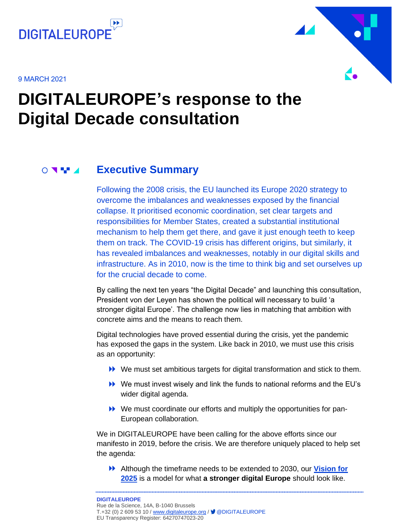

9 MARCH 2021



## **DIGITALEUROPE's response to the Digital Decade consultation**

#### **Executive Summary**  $\circ$   $\bullet$   $\bullet$

<span id="page-0-0"></span>Following the 2008 crisis, the EU launched its Europe 2020 strategy to overcome the imbalances and weaknesses exposed by the financial collapse. It prioritised economic coordination, set clear targets and responsibilities for Member States, created a substantial institutional mechanism to help them get there, and gave it just enough teeth to keep them on track. The COVID-19 crisis has different origins, but similarly, it has revealed imbalances and weaknesses, notably in our digital skills and infrastructure. As in 2010, now is the time to think big and set ourselves up for the crucial decade to come.

By calling the next ten years "the Digital Decade" and launching this consultation, President von der Leyen has shown the political will necessary to build 'a stronger digital Europe'. The challenge now lies in matching that ambition with concrete aims and the means to reach them.

Digital technologies have proved essential during the crisis, yet the pandemic has exposed the gaps in the system. Like back in 2010, we must use this crisis as an opportunity:

- We must set ambitious targets for digital transformation and stick to them.
- We must invest wisely and link the funds to national reforms and the EU's wider digital agenda.
- We must coordinate our efforts and multiply the opportunities for pan-European collaboration.

We in DIGITALEUROPE have been calling for the above efforts since our manifesto in 2019, before the crisis. We are therefore uniquely placed to help set the agenda:

Although the timeframe needs to be extended to 2030, our **[Vision for](https://www.digitaleurope.org/policies/strongerdigitaleurope/)  [2025](https://www.digitaleurope.org/policies/strongerdigitaleurope/)** is a model for what **a stronger digital Europe** should look like.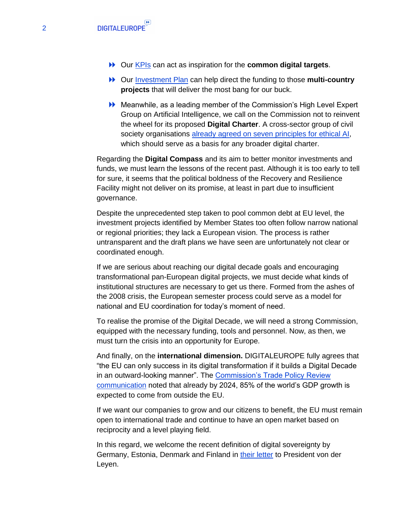- Our [KPIs](https://www.digitaleurope.org/key-indicators-for-a-stronger-digital-europe/) can act as inspiration for the **common digital targets**.
- **▶▶ Our [Investment Plan](https://www.digitaleurope.org/policies/how-to-spend-it-a-digital-investment-plan-for-europe/) can help direct the funding to those multi-country projects** that will deliver the most bang for our buck.
- Meanwhile, as a leading member of the Commission's High Level Expert Group on Artificial Intelligence, we call on the Commission not to reinvent the wheel for its proposed **Digital Charter**. A cross-sector group of civil society organisations [already agreed on seven principles for ethical AI,](https://www.digitaleurope.org/news/high-level-expert-group-unveils-new-tool-for-responsible-ai-in-collaboration-with-digitaleurope/) which should serve as a basis for any broader digital charter.

Regarding the **Digital Compass** and its aim to better monitor investments and funds, we must learn the lessons of the recent past. Although it is too early to tell for sure, it seems that the political boldness of the Recovery and Resilience Facility might not deliver on its promise, at least in part due to insufficient governance.

Despite the unprecedented step taken to pool common debt at EU level, the investment projects identified by Member States too often follow narrow national or regional priorities; they lack a European vision. The process is rather untransparent and the draft plans we have seen are unfortunately not clear or coordinated enough.

If we are serious about reaching our digital decade goals and encouraging transformational pan-European digital projects, we must decide what kinds of institutional structures are necessary to get us there. Formed from the ashes of the 2008 crisis, the European semester process could serve as a model for national and EU coordination for today's moment of need.

To realise the promise of the Digital Decade, we will need a strong Commission, equipped with the necessary funding, tools and personnel. Now, as then, we must turn the crisis into an opportunity for Europe.

And finally, on the **international dimension.** DIGITALEUROPE fully agrees that "the EU can only success in its digital transformation if it builds a Digital Decade in an outward-looking manner". The Commission's Trade Policy Review [communication](https://trade.ec.europa.eu/doclib/docs/2021/february/tradoc_159438.pdf) noted that already by 2024, 85% of the world's GDP growth is expected to come from outside the EU.

If we want our companies to grow and our citizens to benefit, the EU must remain open to international trade and continue to have an open market based on reciprocity and a level playing field.

In this regard, we welcome the recent definition of digital sovereignty by Germany, Estonia, Denmark and Finland in [their letter](https://vnk.fi/en/-/finland-germany-denmark-and-estonia-call-on-eu-to-accelerate-digital-transformation) to President von der Leyen.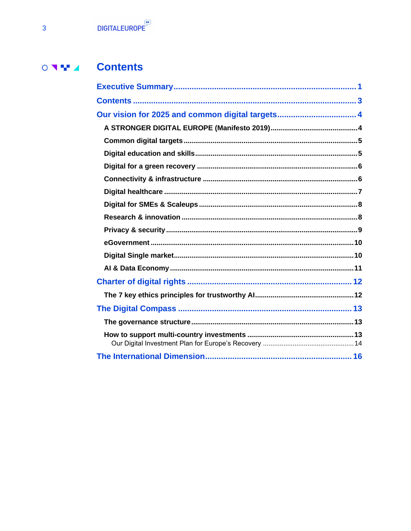#### **Contents**  $\begin{array}{c} \circ & \bullet & \bullet \\ \circ & \bullet & \bullet \end{array}$

<span id="page-2-0"></span>

| Our vision for 2025 and common digital targets 4 |  |
|--------------------------------------------------|--|
|                                                  |  |
|                                                  |  |
|                                                  |  |
|                                                  |  |
|                                                  |  |
|                                                  |  |
|                                                  |  |
|                                                  |  |
|                                                  |  |
|                                                  |  |
|                                                  |  |
|                                                  |  |
|                                                  |  |
|                                                  |  |
|                                                  |  |
|                                                  |  |
|                                                  |  |
|                                                  |  |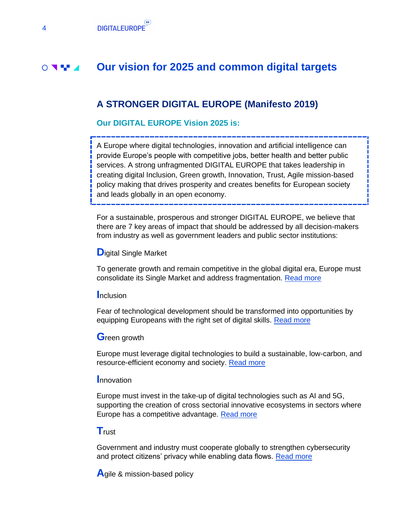#### **Our vision for 2025 and common digital targets**  $\circ$   $\bullet$

## <span id="page-3-1"></span><span id="page-3-0"></span>**A STRONGER DIGITAL EUROPE (Manifesto 2019)**

#### **Our DIGITAL EUROPE Vision 2025 is:**

A Europe where digital technologies, innovation and artificial intelligence can provide Europe's people with competitive jobs, better health and better public services. A strong unfragmented DIGITAL EUROPE that takes leadership in creating digital Inclusion, Green growth, Innovation, Trust, Agile mission-based policy making that drives prosperity and creates benefits for European society and leads globally in an open economy.

For a sustainable, prosperous and stronger DIGITAL EUROPE, we believe that there are 7 key areas of impact that should be addressed by all decision-makers from industry as well as government leaders and public sector institutions:

#### **D**igital Single Market

To generate growth and remain competitive in the global digital era, Europe must consolidate its Single Market and address fragmentation. [Read more](https://www.digitaleurope.org/resources/a-stronger-digital-europe/#dsm)

#### **I**nclusion

Fear of technological development should be transformed into opportunities by equipping Europeans with the right set of digital skills. [Read more](https://www.digitaleurope.org/resources/a-stronger-digital-europe/#inclusion)

#### **G**reen growth

Europe must leverage digital technologies to build a sustainable, low-carbon, and resource-efficient economy and society. [Read more](https://www.digitaleurope.org/resources/a-stronger-digital-europe/#greengrowth)

#### **I**nnovation

Europe must invest in the take-up of digital technologies such as AI and 5G, supporting the creation of cross sectorial innovative ecosystems in sectors where Europe has a competitive advantage. [Read more](https://www.digitaleurope.org/resources/a-stronger-digital-europe/#innovation)

#### **T**rust

Government and industry must cooperate globally to strengthen cybersecurity and protect citizens' privacy while enabling data flows. [Read more](https://www.digitaleurope.org/resources/a-stronger-digital-europe/#trust)

**A**gile & mission-based policy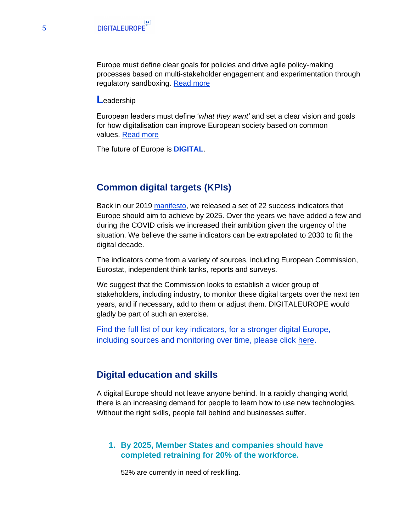Europe must define clear goals for policies and drive agile policy-making processes based on multi-stakeholder engagement and experimentation through regulatory sandboxing. [Read more](https://www.digitaleurope.org/resources/a-stronger-digital-europe/#agile)

#### **L**eadership

European leaders must define '*what they want'* and set a clear vision and goals for how digitalisation can improve European society based on common values. [Read more](https://www.digitaleurope.org/resources/a-stronger-digital-europe/#leadership)

The future of Europe is **DIGITAL**.

#### <span id="page-4-0"></span>**Common digital targets (KPIs)**

Back in our 2019 [manifesto,](https://www.digitaleurope.org/policies/strongerdigitaleurope/) we released a set of 22 success indicators that Europe should aim to achieve by 2025. Over the years we have added a few and during the COVID crisis we increased their ambition given the urgency of the situation. We believe the same indicators can be extrapolated to 2030 to fit the digital decade.

The indicators come from a variety of sources, including European Commission, Eurostat, independent think tanks, reports and surveys.

We suggest that the Commission looks to establish a wider group of stakeholders, including industry, to monitor these digital targets over the next ten years, and if necessary, add to them or adjust them. DIGITALEUROPE would gladly be part of such an exercise.

Find the full list of our key indicators, for a stronger digital Europe, including sources and monitoring over time, please click [here.](https://www.digitaleurope.org/key-indicators-for-a-stronger-digital-europe/)

#### <span id="page-4-1"></span>**Digital education and skills**

A digital Europe should not leave anyone behind. In a rapidly changing world, there is an increasing demand for people to learn how to use new technologies. Without the right skills, people fall behind and businesses suffer.

#### **1. By 2025, Member States and companies should have completed retraining for 20% of the workforce.**

52% are currently in need of reskilling.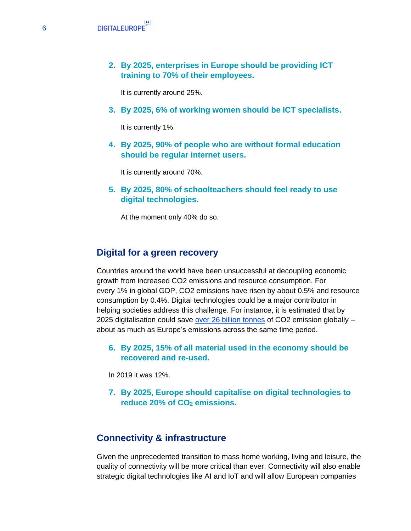**2. By 2025, enterprises in Europe should be providing ICT training to 70% of their employees.**

It is currently around 25%.

**3. By 2025, 6% of working women should be ICT specialists.**

It is currently 1%.

**4. By 2025, 90% of people who are without formal education should be regular internet users.**

It is currently around 70%.

**5. By 2025, 80% of schoolteachers should feel ready to use digital technologies.**

At the moment only 40% do so.

#### <span id="page-5-0"></span>**Digital for a green recovery**

Countries around the world have been unsuccessful at decoupling economic growth from increased CO2 emissions and resource consumption. For every 1% in global GDP, CO2 emissions have risen by about 0.5% and resource consumption by 0.4%. Digital technologies could be a major contributor in helping societies address this challenge. For instance, it is estimated that by 2025 digitalisation could save [over 26 billion tonnes](https://gesi.org/public/index.php) of CO2 emission globally – about as much as Europe's emissions across the same time period.

**6. By 2025, 15% of all material used in the economy should be recovered and re-used.**

In 2019 it was 12%.

**7. By 2025, Europe should capitalise on digital technologies to reduce 20% of CO<sup>2</sup> emissions.**

#### <span id="page-5-1"></span>**Connectivity & infrastructure**

Given the unprecedented transition to mass home working, living and leisure, the quality of connectivity will be more critical than ever. Connectivity will also enable strategic digital technologies like AI and IoT and will allow European companies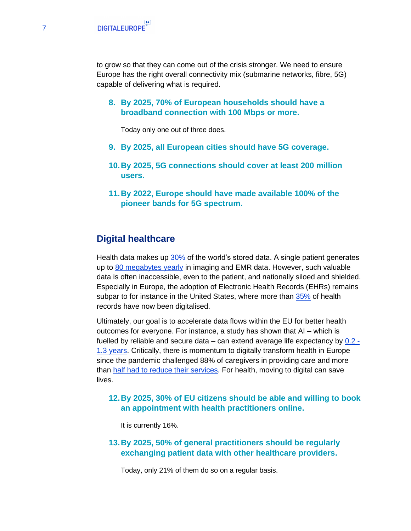to grow so that they can come out of the crisis stronger. We need to ensure Europe has the right overall connectivity mix (submarine networks, fibre, 5G) capable of delivering what is required.

**8. By 2025, 70% of European households should have a broadband connection with 100 Mbps or more.**

Today only one out of three does.

- **9. By 2025, all European cities should have 5G coverage.**
- **10.By 2025, 5G connections should cover at least 200 million users.**
- **11.By 2022, Europe should have made available 100% of the pioneer bands for 5G spectrum.**

#### <span id="page-6-0"></span>**Digital healthcare**

Health data makes up [30%](https://www.esmo.org/newsroom/press-office/esmo2020-covid-pandemic-halts-cancer-care-oncologist-wellbeing) of the world's stored data. A single patient generates up to [80 megabytes yearly](https://www.mckinsey.com/industries/healthcare-systems-and-services/our-insights/promoting-an-overdue-digital-transformation-in-healthcare) in imaging and EMR data. However, such valuable data is often inaccessible, even to the patient, and nationally siloed and shielded. Especially in Europe, the adoption of Electronic Health Records (EHRs) remains subpar to for instance in the United States, where more than [35%](https://www.mckinsey.com/~/media/mckinsey/industries/advanced%20electronics/our%20insights/how%20artificial%20intelligence%20can%20deliver%20real%20value%20to%20companies/mgi-artificial-intelligence-discussion-paper.ashx) of health records have now been digitalised.

Ultimately, our goal is to accelerate data flows within the EU for better health outcomes for everyone. For instance, a study has shown that AI – which is fuelled by reliable and secure data – can extend average life expectancy by [0.2 -](https://www.mckinsey.com/~/media/mckinsey/industries/advanced%20electronics/our%20insights/how%20artificial%20intelligence%20can%20deliver%20real%20value%20to%20companies/mgi-artificial-intelligence-discussion-paper.ashx) [1.3 years.](https://www.mckinsey.com/~/media/mckinsey/industries/advanced%20electronics/our%20insights/how%20artificial%20intelligence%20can%20deliver%20real%20value%20to%20companies/mgi-artificial-intelligence-discussion-paper.ashx) Critically, there is momentum to digitally transform health in Europe since the pandemic challenged 88% of caregivers in providing care and more than [half had to reduce their services.](https://www.mckinsey.com/~/media/mckinsey/industries/advanced%20electronics/our%20insights/how%20artificial%20intelligence%20can%20deliver%20real%20value%20to%20companies/mgi-artificial-intelligence-discussion-paper.ashx) For health, moving to digital can save lives.

#### **12.By 2025, 30% of EU citizens should be able and willing to book an appointment with health practitioners online.**

It is currently 16%.

**13.By 2025, 50% of general practitioners should be regularly exchanging patient data with other healthcare providers.**

Today, only 21% of them do so on a regular basis.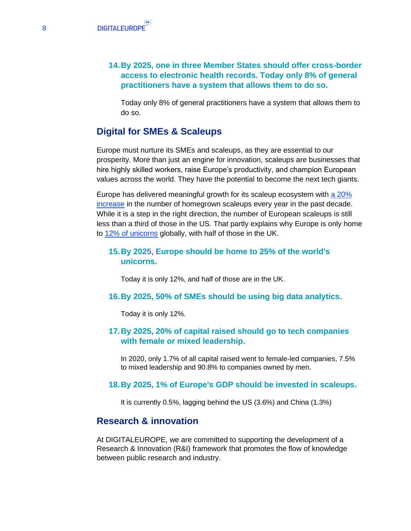#### **14.By 2025, one in three Member States should offer cross-border access to electronic health records. Today only 8% of general practitioners have a system that allows them to do so.**

Today only 8% of general practitioners have a system that allows them to do so.

## <span id="page-7-0"></span>**Digital for SMEs & Scaleups**

Europe must nurture its SMEs and scaleups, as they are essential to our prosperity. More than just an engine for innovation, scaleups are businesses that hire highly skilled workers, raise Europe's productivity, and champion European values across the world. They have the potential to become the next tech giants.

Europe has delivered meaningful growth for its scaleup ecosystem with [a 20%](https://mindthebridge.com/tech-scaleup-europe-2019-report/)  [increase](https://mindthebridge.com/tech-scaleup-europe-2019-report/) in the number of homegrown scaleups every year in the past decade. While it is a step in the right direction, the number of European scaleups is still less than a third of those in the US. That partly explains why Europe is only home to [12% of unicorns](https://www.cbinsights.com/research-unicorn-exits) globally, with half of those in the UK.

#### **15.By 2025, Europe should be home to 25% of the world's unicorns.**

Today it is only 12%, and half of those are in the UK.

#### **16.By 2025, 50% of SMEs should be using big data analytics.**

Today it is only 12%.

#### **17.By 2025, 20% of capital raised should go to tech companies with female or mixed leadership.**

In 2020, only 1.7% of all capital raised went to female-led companies, 7.5% to mixed leadership and 90.8% to companies owned by men.

#### **18.By 2025, 1% of Europe's GDP should be invested in scaleups.**

It is currently 0.5%, lagging behind the US (3.6%) and China (1.3%)

## <span id="page-7-1"></span>**Research & innovation**

At DIGITALEUROPE, we are committed to supporting the development of a Research & Innovation (R&I) framework that promotes the flow of knowledge between public research and industry.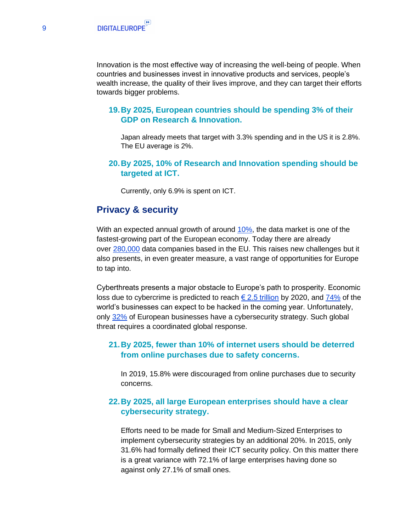Innovation is the most effective way of increasing the well-being of people. When countries and businesses invest in innovative products and services, people's wealth increase, the quality of their lives improve, and they can target their efforts towards bigger problems.

#### **19.By 2025, European countries should be spending 3% of their GDP on Research & Innovation.**

Japan already meets that target with 3.3% spending and in the US it is 2.8%. The EU average is 2%.

#### **20.By 2025, 10% of Research and Innovation spending should be targeted at ICT.**

Currently, only 6.9% is spent on ICT.

#### <span id="page-8-0"></span>**Privacy & security**

With an expected annual growth of around [10%,](http://datalandscape.eu/european-data-market-monitoring-tool-2018) the data market is one of the fastest-growing part of the European economy. Today there are already over [280,000](http://datalandscape.eu/european-data-market-monitoring-tool-2018) data companies based in the EU. This raises new challenges but it also presents, in even greater measure, a vast range of opportunities for Europe to tap into.

Cyberthreats presents a major obstacle to Europe's path to prosperity. Economic loss due to cybercrime is predicted to reach  $\epsilon$  2.5 trillion by 2020, and [74%](https://www.weforum.org/centre-for-cybersecurity) of the world's businesses can expect to be hacked in the coming year. Unfortunately, only [32%](https://digital-agenda-data.eu/charts/see-the-evolution-of-an-indicator-and-compare-breakdowns%22%20%5Cl%20%22chart=%7B%5C%22indicator-group%5C%22:%5C%22security-privacy%5C%22,%5C%22indicator%5C%22:%5C%22E_SECPOL1%5C%22,%5C%22breakdown-group%5C%22:%5C%22total%5C%22,%5C%22unit-measure%5C%22:%5C%22pc_ent%5C%22,%5C%22ref-area%5C%22:%5C%22EU28%5C%22%7D) of European businesses have a cybersecurity strategy. Such global threat requires a coordinated global response.

#### **21.By 2025, fewer than 10% of internet users should be deterred from online purchases due to safety concerns.**

In 2019, 15.8% were discouraged from online purchases due to security concerns.

#### **22.By 2025, all large European enterprises should have a clear cybersecurity strategy.**

Efforts need to be made for Small and Medium-Sized Enterprises to implement cybersecurity strategies by an additional 20%. In 2015, only 31.6% had formally defined their ICT security policy. On this matter there is a great variance with 72.1% of large enterprises having done so against only 27.1% of small ones.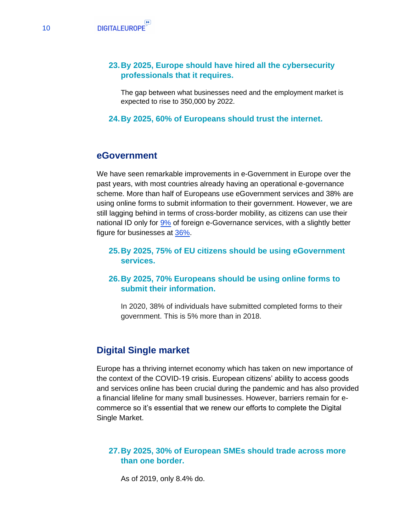#### **23.By 2025, Europe should have hired all the cybersecurity professionals that it requires.**

The gap between what businesses need and the employment market is expected to rise to 350,000 by 2022.

**24.By 2025, 60% of Europeans should trust the internet.**

#### <span id="page-9-0"></span>**eGovernment**

We have seen remarkable improvements in e-Government in Europe over the past years, with most countries already having an operational e-governance scheme. More than half of Europeans use eGovernment services and 38% are using online forms to submit information to their government. However, we are still lagging behind in terms of cross-border mobility, as citizens can use their national ID only for [9%](https://ec.europa.eu/digital-single-market/en/news/egovernment-benchmark-2020-egovernment-works-people) of foreign e-Governance services, with a slightly better figure for businesses at [36%.](https://ec.europa.eu/digital-single-market/en/news/egovernment-benchmark-2020-egovernment-works-people)

#### **25.By 2025, 75% of EU citizens should be using eGovernment services.**

#### **26.By 2025, 70% Europeans should be using online forms to submit their information.**

In 2020, 38% of individuals have submitted completed forms to their government. This is 5% more than in 2018.

## <span id="page-9-1"></span>**Digital Single market**

Europe has a thriving internet economy which has taken on new importance of the context of the COVID-19 crisis. European citizens' ability to access goods and services online has been crucial during the pandemic and has also provided a financial lifeline for many small businesses. However, barriers remain for ecommerce so it's essential that we renew our efforts to complete the Digital Single Market.

#### **27.By 2025, 30% of European SMEs should trade across more than one border.**

As of 2019, only 8.4% do.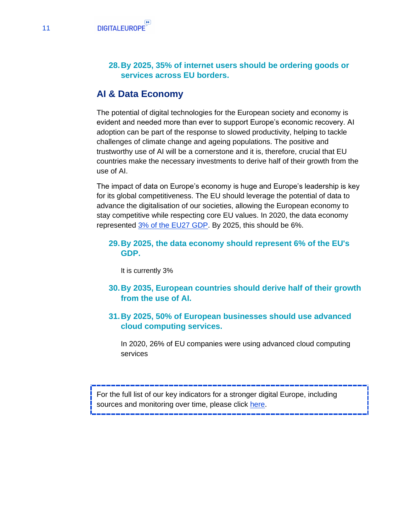#### **28.By 2025, 35% of internet users should be ordering goods or services across EU borders.**

#### <span id="page-10-0"></span>**AI & Data Economy**

The potential of digital technologies for the European society and economy is evident and needed more than ever to support Europe's economic recovery. AI adoption can be part of the response to slowed productivity, helping to tackle challenges of climate change and ageing populations. The positive and trustworthy use of AI will be a cornerstone and it is, therefore, crucial that EU countries make the necessary investments to derive half of their growth from the use of AI.

The impact of data on Europe's economy is huge and Europe's leadership is key for its global competitiveness. The EU should leverage the potential of data to advance the digitalisation of our societies, allowing the European economy to stay competitive while respecting core EU values. In 2020, the data economy represented [3% of the EU27 GDP.](https://datalandscape.eu/european-data-market-monitoring-tool-2018) By 2025, this should be 6%.

#### **29.By 2025, the data economy should represent 6% of the EU's GDP.**

It is currently 3%

- **30.By 2035, European countries should derive half of their growth from the use of AI.**
- **31.By 2025, 50% of European businesses should use advanced cloud computing services.**

In 2020, 26% of EU companies were using advanced cloud computing services

For the full list of our key indicators for a stronger digital Europe, including sources and monitoring over time, please click [here.](https://www.digitaleurope.org/key-indicators-for-a-stronger-digital-europe/)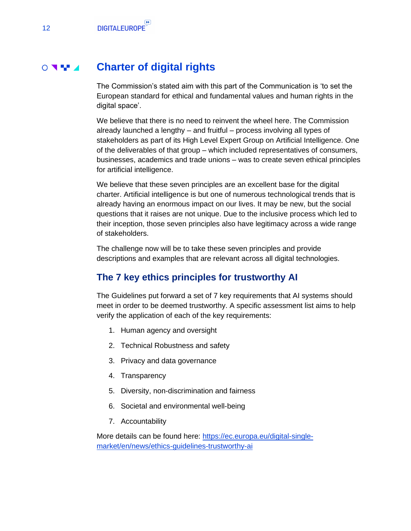#### **Charter of digital rights**  $\circ$   $\bullet$   $\bullet$

<span id="page-11-0"></span>The Commission's stated aim with this part of the Communication is 'to set the European standard for ethical and fundamental values and human rights in the digital space'.

We believe that there is no need to reinvent the wheel here. The Commission already launched a lengthy – and fruitful – process involving all types of stakeholders as part of its High Level Expert Group on Artificial Intelligence. One of the deliverables of that group – which included representatives of consumers, businesses, academics and trade unions – was to create seven ethical principles for artificial intelligence.

We believe that these seven principles are an excellent base for the digital charter. Artificial intelligence is but one of numerous technological trends that is already having an enormous impact on our lives. It may be new, but the social questions that it raises are not unique. Due to the inclusive process which led to their inception, those seven principles also have legitimacy across a wide range of stakeholders.

The challenge now will be to take these seven principles and provide descriptions and examples that are relevant across all digital technologies.

## <span id="page-11-1"></span>**The 7 key ethics principles for trustworthy AI**

The Guidelines put forward a set of 7 key requirements that AI systems should meet in order to be deemed trustworthy. A specific assessment list aims to help verify the application of each of the key requirements:

- 1. Human agency and oversight
- 2. Technical Robustness and safety
- 3. Privacy and data governance
- 4. Transparency
- 5. Diversity, non-discrimination and fairness
- 6. Societal and environmental well-being
- 7. Accountability

More details can be found here: [https://ec.europa.eu/digital-single](https://ec.europa.eu/digital-single-market/en/news/ethics-guidelines-trustworthy-ai)[market/en/news/ethics-guidelines-trustworthy-ai](https://ec.europa.eu/digital-single-market/en/news/ethics-guidelines-trustworthy-ai)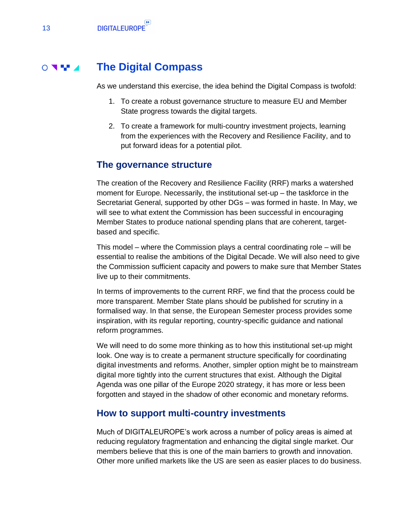#### **The Digital Compass**  $\circ$   $\bullet$   $\bullet$

<span id="page-12-0"></span>As we understand this exercise, the idea behind the Digital Compass is twofold:

- 1. To create a robust governance structure to measure EU and Member State progress towards the digital targets.
- 2. To create a framework for multi-country investment projects, learning from the experiences with the Recovery and Resilience Facility, and to put forward ideas for a potential pilot.

#### <span id="page-12-1"></span>**The governance structure**

The creation of the Recovery and Resilience Facility (RRF) marks a watershed moment for Europe. Necessarily, the institutional set-up – the taskforce in the Secretariat General, supported by other DGs – was formed in haste. In May, we will see to what extent the Commission has been successful in encouraging Member States to produce national spending plans that are coherent, targetbased and specific.

This model – where the Commission plays a central coordinating role – will be essential to realise the ambitions of the Digital Decade. We will also need to give the Commission sufficient capacity and powers to make sure that Member States live up to their commitments.

In terms of improvements to the current RRF, we find that the process could be more transparent. Member State plans should be published for scrutiny in a formalised way. In that sense, the European Semester process provides some inspiration, with its regular reporting, country-specific guidance and national reform programmes.

We will need to do some more thinking as to how this institutional set-up might look. One way is to create a permanent structure specifically for coordinating digital investments and reforms. Another, simpler option might be to mainstream digital more tightly into the current structures that exist. Although the Digital Agenda was one pillar of the Europe 2020 strategy, it has more or less been forgotten and stayed in the shadow of other economic and monetary reforms.

#### <span id="page-12-2"></span>**How to support multi-country investments**

Much of DIGITALEUROPE's work across a number of policy areas is aimed at reducing regulatory fragmentation and enhancing the digital single market. Our members believe that this is one of the main barriers to growth and innovation. Other more unified markets like the US are seen as easier places to do business.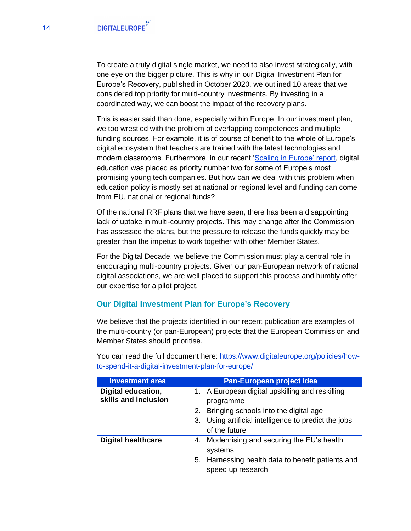To create a truly digital single market, we need to also invest strategically, with one eye on the bigger picture. This is why in our Digital Investment Plan for Europe's Recovery, published in October 2020, we outlined 10 areas that we considered top priority for multi-country investments. By investing in a coordinated way, we can boost the impact of the recovery plans.

This is easier said than done, especially within Europe. In our investment plan, we too wrestled with the problem of overlapping competences and multiple funding sources. For example, it is of course of benefit to the whole of Europe's digital ecosystem that teachers are trained with the latest technologies and modern classrooms. Furthermore, in our recent ['Scaling in Europe' report,](https://www.digitaleurope.org/resources/scaling-in-europe/) digital education was placed as priority number two for some of Europe's most promising young tech companies. But how can we deal with this problem when education policy is mostly set at national or regional level and funding can come from EU, national or regional funds?

Of the national RRF plans that we have seen, there has been a disappointing lack of uptake in multi-country projects. This may change after the Commission has assessed the plans, but the pressure to release the funds quickly may be greater than the impetus to work together with other Member States.

For the Digital Decade, we believe the Commission must play a central role in encouraging multi-country projects. Given our pan-European network of national digital associations, we are well placed to support this process and humbly offer our expertise for a pilot project.

#### <span id="page-13-0"></span>**Our Digital Investment Plan for Europe's Recovery**

We believe that the projects identified in our recent publication are examples of the multi-country (or pan-European) projects that the European Commission and Member States should prioritise.

| <b>Investment area</b>                     | Pan-European project idea                                                                                                                                                         |
|--------------------------------------------|-----------------------------------------------------------------------------------------------------------------------------------------------------------------------------------|
| Digital education,<br>skills and inclusion | 1. A European digital upskilling and reskilling<br>programme<br>2. Bringing schools into the digital age<br>3. Using artificial intelligence to predict the jobs<br>of the future |
| <b>Digital healthcare</b>                  | 4. Modernising and securing the EU's health<br>systems<br>5. Harnessing health data to benefit patients and<br>speed up research                                                  |

You can read the full document here: [https://www.digitaleurope.org/policies/how](https://www.digitaleurope.org/policies/how-to-spend-it-a-digital-investment-plan-for-europe/)[to-spend-it-a-digital-investment-plan-for-europe/](https://www.digitaleurope.org/policies/how-to-spend-it-a-digital-investment-plan-for-europe/)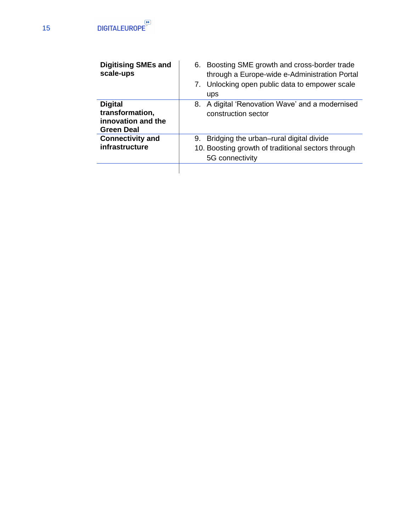| <b>Digitising SMEs and</b><br>scale-ups                               | Boosting SME growth and cross-border trade<br>6.<br>through a Europe-wide e-Administration Portal<br>7. Unlocking open public data to empower scale<br>ups |
|-----------------------------------------------------------------------|------------------------------------------------------------------------------------------------------------------------------------------------------------|
| <b>Digital</b><br>transformation,<br>innovation and the<br>Green Deal | A digital 'Renovation Wave' and a modernised<br>8.<br>construction sector                                                                                  |
| <b>Connectivity and</b><br>infrastructure                             | Bridging the urban–rural digital divide<br>9.<br>10. Boosting growth of traditional sectors through<br>5G connectivity                                     |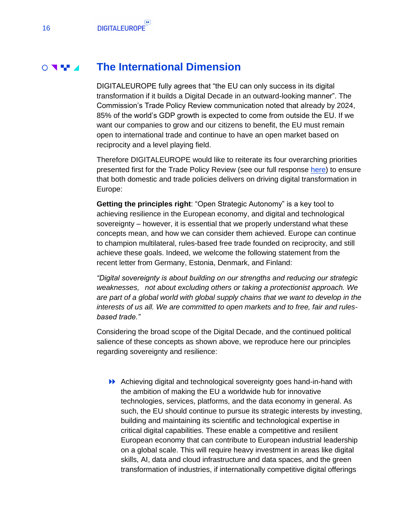#### **The International Dimension**  $\circ$

<span id="page-15-0"></span>DIGITALEUROPE fully agrees that "the EU can only success in its digital transformation if it builds a Digital Decade in an outward-looking manner". The Commission's Trade Policy Review communication noted that already by 2024, 85% of the world's GDP growth is expected to come from outside the EU. If we want our companies to grow and our citizens to benefit, the EU must remain open to international trade and continue to have an open market based on reciprocity and a level playing field.

Therefore DIGITALEUROPE would like to reiterate its four overarching priorities presented first for the Trade Policy Review (see our full response [here\)](https://www.digitaleurope.org/resources/building-tomorrows-global-trade-ecosystem-digitaleuropes-response-to-the-public-consultation-on-the-eu-trade-policy-review/) to ensure that both domestic and trade policies delivers on driving digital transformation in Europe:

**Getting the principles right**: "Open Strategic Autonomy" is a key tool to achieving resilience in the European economy, and digital and technological sovereignty – however, it is essential that we properly understand what these concepts mean, and how we can consider them achieved. Europe can continue to champion multilateral, rules-based free trade founded on reciprocity, and still achieve these goals. Indeed, we welcome the following statement from the recent letter from Germany, Estonia, Denmark, and Finland:

*"Digital sovereignty is about building on our strengths and reducing our strategic weaknesses, not about excluding others or taking a protectionist approach. We are part of a global world with global supply chains that we want to develop in the interests of us all. We are committed to open markets and to free, fair and rulesbased trade."*

Considering the broad scope of the Digital Decade, and the continued political salience of these concepts as shown above, we reproduce here our principles regarding sovereignty and resilience:

Achieving digital and technological sovereignty goes hand-in-hand with the ambition of making the EU a worldwide hub for innovative technologies, services, platforms, and the data economy in general. As such, the EU should continue to pursue its strategic interests by investing, building and maintaining its scientific and technological expertise in critical digital capabilities. These enable a competitive and resilient European economy that can contribute to European industrial leadership on a global scale. This will require heavy investment in areas like digital skills, AI, data and cloud infrastructure and data spaces, and the green transformation of industries, if internationally competitive digital offerings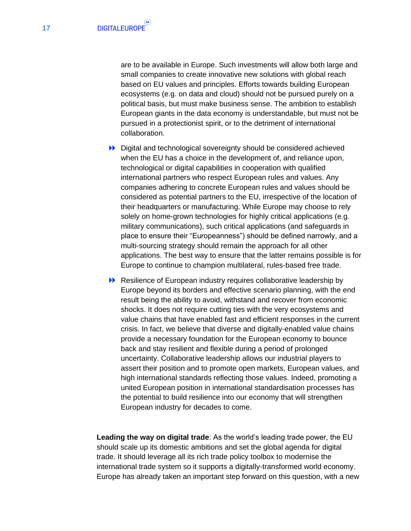are to be available in Europe. Such investments will allow both large and small companies to create innovative new solutions with global reach based on EU values and principles. Efforts towards building European ecosystems (e.g. on data and cloud) should not be pursued purely on a political basis, but must make business sense. The ambition to establish European giants in the data economy is understandable, but must not be pursued in a protectionist spirit, or to the detriment of international collaboration.

- Digital and technological sovereignty should be considered achieved when the EU has a choice in the development of, and reliance upon, technological or digital capabilities in cooperation with qualified international partners who respect European rules and values. Any companies adhering to concrete European rules and values should be considered as potential partners to the EU, irrespective of the location of their headquarters or manufacturing. While Europe may choose to rely solely on home-grown technologies for highly critical applications (e.g. military communications), such critical applications (and safeguards in place to ensure their "Europeanness") should be defined narrowly, and a multi-sourcing strategy should remain the approach for all other applications. The best way to ensure that the latter remains possible is for Europe to continue to champion multilateral, rules-based free trade.
- **EXECUTE:** Resilience of European industry requires collaborative leadership by Europe beyond its borders and effective scenario planning, with the end result being the ability to avoid, withstand and recover from economic shocks. It does not require cutting ties with the very ecosystems and value chains that have enabled fast and efficient responses in the current crisis. In fact, we believe that diverse and digitally-enabled value chains provide a necessary foundation for the European economy to bounce back and stay resilient and flexible during a period of prolonged uncertainty. Collaborative leadership allows our industrial players to assert their position and to promote open markets, European values, and high international standards reflecting those values. Indeed, promoting a united European position in international standardisation processes has the potential to build resilience into our economy that will strengthen European industry for decades to come.

**Leading the way on digital trade**: As the world's leading trade power, the EU should scale up its domestic ambitions and set the global agenda for digital trade. It should leverage all its rich trade policy toolbox to modernise the international trade system so it supports a digitally-transformed world economy. Europe has already taken an important step forward on this question, with a new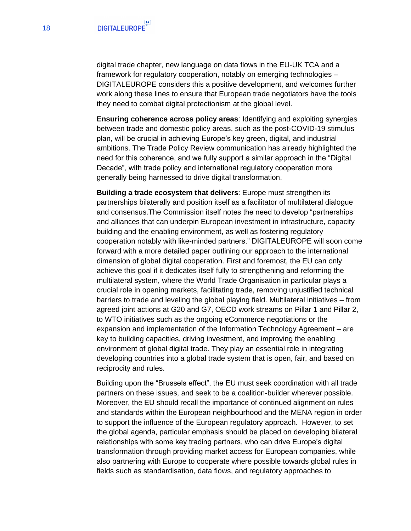digital trade chapter, new language on data flows in the EU-UK TCA and a framework for regulatory cooperation, notably on emerging technologies – DIGITALEUROPE considers this a positive development, and welcomes further work along these lines to ensure that European trade negotiators have the tools they need to combat digital protectionism at the global level.

**Ensuring coherence across policy areas**: Identifying and exploiting synergies between trade and domestic policy areas, such as the post-COVID-19 stimulus plan, will be crucial in achieving Europe's key green, digital, and industrial ambitions. The Trade Policy Review communication has already highlighted the need for this coherence, and we fully support a similar approach in the "Digital Decade", with trade policy and international regulatory cooperation more generally being harnessed to drive digital transformation.

**Building a trade ecosystem that delivers**: Europe must strengthen its partnerships bilaterally and position itself as a facilitator of multilateral dialogue and consensus.The Commission itself notes the need to develop "partnerships and alliances that can underpin European investment in infrastructure, capacity building and the enabling environment, as well as fostering regulatory cooperation notably with like-minded partners." DIGITALEUROPE will soon come forward with a more detailed paper outlining our approach to the international dimension of global digital cooperation. First and foremost, the EU can only achieve this goal if it dedicates itself fully to strengthening and reforming the multilateral system, where the World Trade Organisation in particular plays a crucial role in opening markets, facilitating trade, removing unjustified technical barriers to trade and leveling the global playing field. Multilateral initiatives – from agreed joint actions at G20 and G7, OECD work streams on Pillar 1 and Pillar 2, to WTO initiatives such as the ongoing eCommerce negotiations or the expansion and implementation of the Information Technology Agreement – are key to building capacities, driving investment, and improving the enabling environment of global digital trade. They play an essential role in integrating developing countries into a global trade system that is open, fair, and based on reciprocity and rules.

Building upon the "Brussels effect", the EU must seek coordination with all trade partners on these issues, and seek to be a coalition-builder wherever possible. Moreover, the EU should recall the importance of continued alignment on rules and standards within the European neighbourhood and the MENA region in order to support the influence of the European regulatory approach. However, to set the global agenda, particular emphasis should be placed on developing bilateral relationships with some key trading partners, who can drive Europe's digital transformation through providing market access for European companies, while also partnering with Europe to cooperate where possible towards global rules in fields such as standardisation, data flows, and regulatory approaches to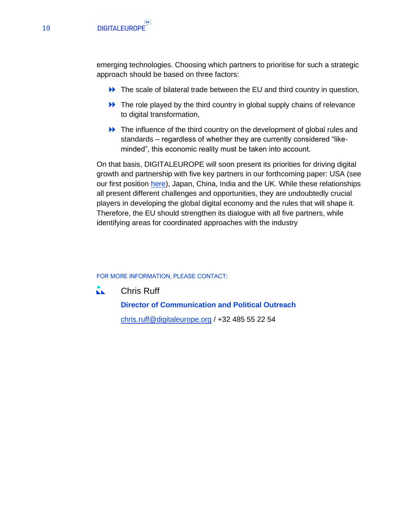emerging technologies. Choosing which partners to prioritise for such a strategic approach should be based on three factors:

- The scale of bilateral trade between the EU and third country in question,
- $\blacktriangleright$  The role played by the third country in global supply chains of relevance to digital transformation,
- **EXECUTE:** The influence of the third country on the development of global rules and standards – regardless of whether they are currently considered "likeminded", this economic reality must be taken into account.

On that basis, DIGITALEUROPE will soon present its priorities for driving digital growth and partnership with five key partners in our forthcoming paper: USA (see our first position [here\)](https://www.digitaleurope.org/resources/digitaleurope-priorities-for-relaunching-the-transatlantic-agenda/), Japan, China, India and the UK. While these relationships all present different challenges and opportunities, they are undoubtedly crucial players in developing the global digital economy and the rules that will shape it. Therefore, the EU should strengthen its dialogue with all five partners, while identifying areas for coordinated approaches with the industry

#### FOR MORE INFORMATION, PLEASE CONTACT:

KK. Chris Ruff

> **Director of Communication and Political Outreach** [chris.ruff@digitaleurope.org](mailto:chris.ruff@digitaleurope.org) / +32 485 55 22 54